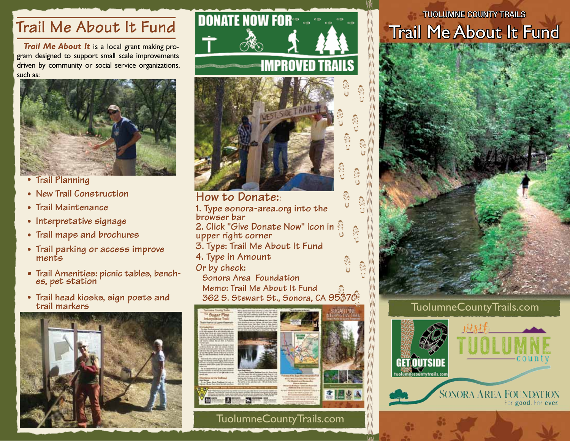## **Trail Me About It Fund**

*Trail Me About It* is a local grant making program designed to support small scale improvements driven by community or social service organizations, such as:



- **Trail Planning •**
- **New Trail Construction •**
- **Trail Maintenance •**
- **Interpretative signage**
- **Trail maps and brochures •**
- **Trail parking or access improve • ments**
- **Trail Amenities: picnic tables, bench- es, pet station •**
- **Trail head kiosks, sign posts and •trail markers**





**browser bar 2. Click "Give Donate Now" icon in upper right corner 3. Type: Trail Me About It Fund 4. Type in Amount Or by check: Sonora Area Foundation Memo: Trail Me About It Fund 362 S. Stewart St., Sonora, CA 95370**



TuolumneCountyTrails.com

## TUOLUMNE COUNTY TRAILS Trail Me About It Fund



TuolumneCountyTrails.com